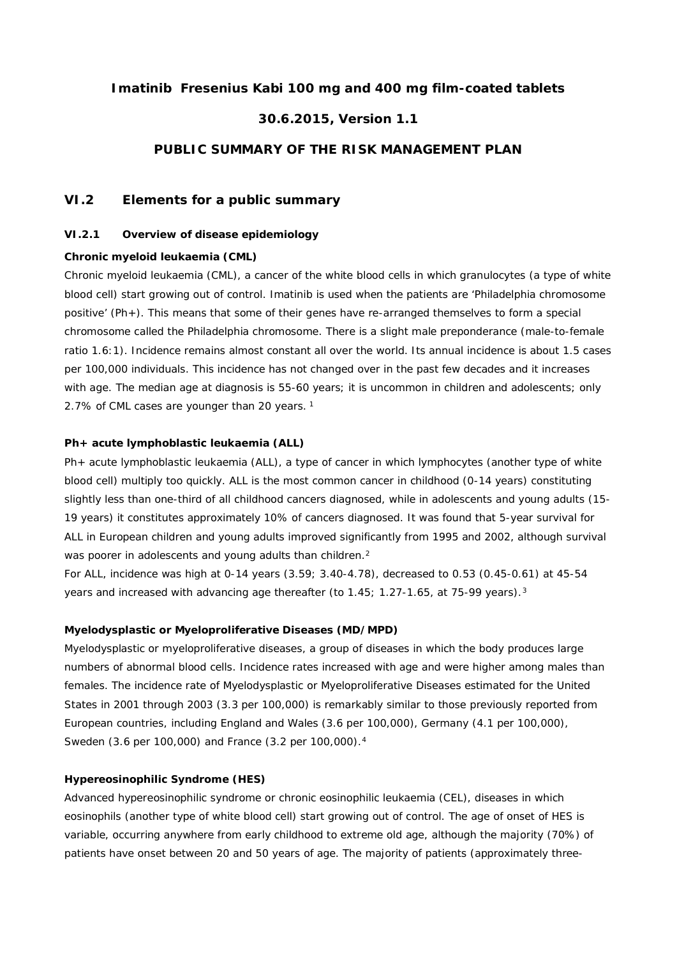### **Imatinib Fresenius Kabi 100 mg and 400 mg film-coated tablets**

## **30.6.2015, Version 1.1**

### **PUBLIC SUMMARY OF THE RISK MANAGEMENT PLAN**

## **VI.2 Elements for a public summary**

### *VI.2.1 Overview of disease epidemiology*

#### *Chronic myeloid leukaemia (CML)*

Chronic myeloid leukaemia (CML), a cancer of the white blood cells in which granulocytes (a type of white blood cell) start growing out of control. Imatinib is used when the patients are 'Philadelphia chromosome positive' (Ph+). This means that some of their genes have re-arranged themselves to form a special chromosome called the Philadelphia chromosome. There is a slight male preponderance (male-to-female ratio 1.6:1). Incidence remains almost constant all over the world. Its annual incidence is about 1.5 cases per 100,000 individuals. This incidence has not changed over in the past few decades and it increases with age. The median age at diagnosis is 55-60 years; it is uncommon in children and adolescents; only 2.7% of CML cases are younger than 20 years.<sup>1</sup>

#### *Ph+ acute lymphoblastic leukaemia (ALL)*

Ph+ acute lymphoblastic leukaemia (ALL), a type of cancer in which lymphocytes (another type of white blood cell) multiply too quickly. ALL is the most common cancer in childhood (0-14 years) constituting slightly less than one-third of all childhood cancers diagnosed, while in adolescents and young adults (15- 19 years) it constitutes approximately 10% of cancers diagnosed. It was found that 5-year survival for ALL in European children and young adults improved significantly from 1995 and 2002, although survival was poorer in adolescents and young adults than children.<sup>2</sup>

For ALL, incidence was high at 0-14 years (3.59; 3.40-4.78), decreased to 0.53 (0.45-0.61) at 45-54 years and increased with advancing age thereafter (to 1.45; 1.27-1.65, at 75-99 years).<sup>3</sup>

### *Myelodysplastic or Myeloproliferative Diseases (MD/MPD)*

Myelodysplastic or myeloproliferative diseases, a group of diseases in which the body produces large numbers of abnormal blood cells. Incidence rates increased with age and were higher among males than females. The incidence rate of Myelodysplastic or Myeloproliferative Diseases estimated for the United States in 2001 through 2003 (3.3 per 100,000) is remarkably similar to those previously reported from European countries, including England and Wales (3.6 per 100,000), Germany (4.1 per 100,000), Sweden (3.6 per 100,000) and France (3.2 per 100,000).<sup>4</sup>

#### *Hypereosinophilic Syndrome (HES)*

Advanced hypereosinophilic syndrome or chronic eosinophilic leukaemia (CEL), diseases in which eosinophils (another type of white blood cell) start growing out of control. The age of onset of HES is variable, occurring anywhere from early childhood to extreme old age, although the majority (70%) of patients have onset between 20 and 50 years of age. The majority of patients (approximately three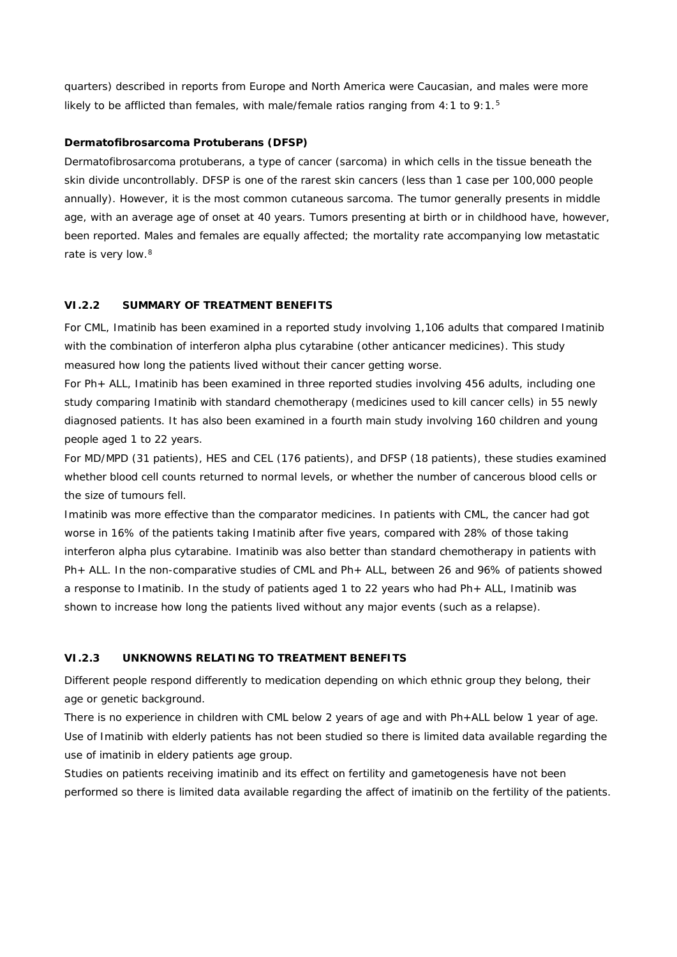quarters) described in reports from Europe and North America were Caucasian, and males were more likely to be afflicted than females, with male/female ratios ranging from  $4:1$  to  $9:1.^5$ 

### *Dermatofibrosarcoma Protuberans (DFSP)*

Dermatofibrosarcoma protuberans, a type of cancer (sarcoma) in which cells in the tissue beneath the skin divide uncontrollably. DFSP is one of the rarest skin cancers (less than 1 case per 100,000 people annually). However, it is the most common cutaneous sarcoma. The tumor generally presents in middle age, with an average age of onset at 40 years. Tumors presenting at birth or in childhood have, however, been reported. Males and females are equally affected; the mortality rate accompanying low metastatic rate is very low.<sup>8</sup>

#### **VI.2.2 SUMMARY OF TREATMENT BENEFITS**

For CML, Imatinib has been examined in a reported study involving 1,106 adults that compared Imatinib with the combination of interferon alpha plus cytarabine (other anticancer medicines). This study measured how long the patients lived without their cancer getting worse.

For Ph+ ALL, Imatinib has been examined in three reported studies involving 456 adults, including one study comparing Imatinib with standard chemotherapy (medicines used to kill cancer cells) in 55 newly diagnosed patients. It has also been examined in a fourth main study involving 160 children and young people aged 1 to 22 years.

For MD/MPD (31 patients), HES and CEL (176 patients), and DFSP (18 patients), these studies examined whether blood cell counts returned to normal levels, or whether the number of cancerous blood cells or the size of tumours fell.

Imatinib was more effective than the comparator medicines. In patients with CML, the cancer had got worse in 16% of the patients taking Imatinib after five years, compared with 28% of those taking interferon alpha plus cytarabine. Imatinib was also better than standard chemotherapy in patients with Ph+ ALL. In the non-comparative studies of CML and Ph+ ALL, between 26 and 96% of patients showed a response to Imatinib. In the study of patients aged 1 to 22 years who had Ph+ ALL, Imatinib was shown to increase how long the patients lived without any major events (such as a relapse).

#### **VI.2.3 UNKNOWNS RELATING TO TREATMENT BENEFITS**

Different people respond differently to medication depending on which ethnic group they belong, their age or genetic background.

There is no experience in children with CML below 2 years of age and with Ph+ALL below 1 year of age. Use of Imatinib with elderly patients has not been studied so there is limited data available regarding the use of imatinib in eldery patients age group.

Studies on patients receiving imatinib and its effect on fertility and gametogenesis have not been performed so there is limited data available regarding the affect of imatinib on the fertility of the patients.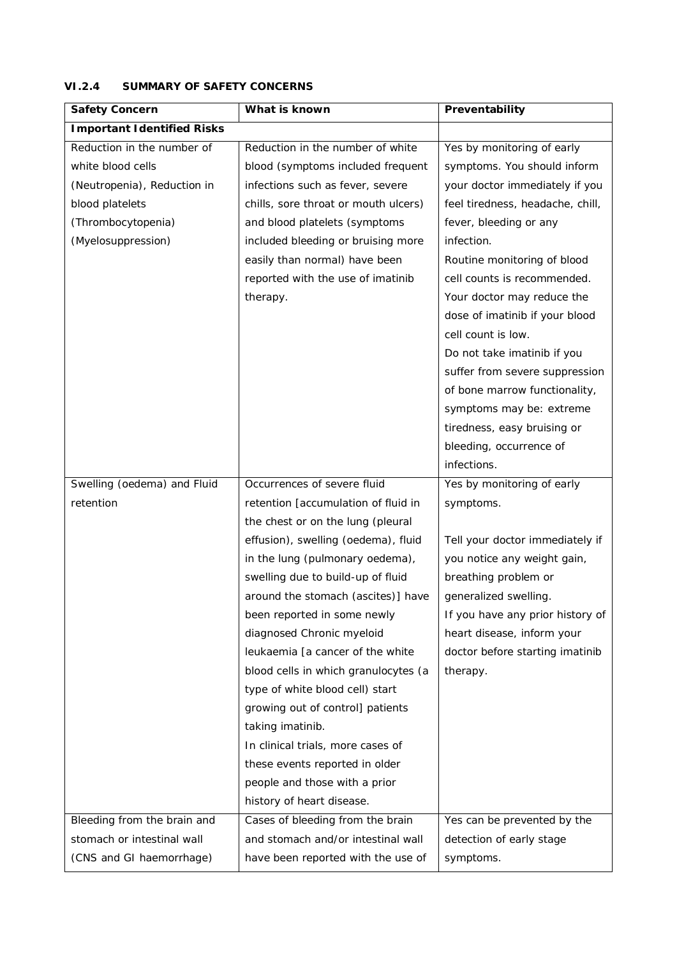| Safety Concern              | What is known                        | Preventability                   |
|-----------------------------|--------------------------------------|----------------------------------|
| Important I dentified Risks |                                      |                                  |
| Reduction in the number of  | Reduction in the number of white     | Yes by monitoring of early       |
| white blood cells           | blood (symptoms included frequent    | symptoms. You should inform      |
| (Neutropenia), Reduction in | infections such as fever, severe     | your doctor immediately if you   |
| blood platelets             | chills, sore throat or mouth ulcers) | feel tiredness, headache, chill, |
| (Thrombocytopenia)          | and blood platelets (symptoms        | fever, bleeding or any           |
| (Myelosuppression)          | included bleeding or bruising more   | infection.                       |
|                             | easily than normal) have been        | Routine monitoring of blood      |
|                             | reported with the use of imatinib    | cell counts is recommended.      |
|                             | therapy.                             | Your doctor may reduce the       |
|                             |                                      | dose of imatinib if your blood   |
|                             |                                      | cell count is low.               |
|                             |                                      | Do not take imatinib if you      |
|                             |                                      | suffer from severe suppression   |
|                             |                                      | of bone marrow functionality,    |
|                             |                                      | symptoms may be: extreme         |
|                             |                                      | tiredness, easy bruising or      |
|                             |                                      | bleeding, occurrence of          |
|                             |                                      | infections.                      |
| Swelling (oedema) and Fluid | Occurrences of severe fluid          | Yes by monitoring of early       |
| retention                   | retention [accumulation of fluid in  | symptoms.                        |
|                             | the chest or on the lung (pleural    |                                  |
|                             | effusion), swelling (oedema), fluid  | Tell your doctor immediately if  |
|                             | in the lung (pulmonary oedema),      | you notice any weight gain,      |
|                             | swelling due to build-up of fluid    | breathing problem or             |
|                             | around the stomach (ascites)] have   | generalized swelling.            |
|                             | been reported in some newly          | If you have any prior history of |
|                             | diagnosed Chronic myeloid            | heart disease, inform your       |
|                             | leukaemia [a cancer of the white     | doctor before starting imatinib  |
|                             | blood cells in which granulocytes (a | therapy.                         |
|                             | type of white blood cell) start      |                                  |
|                             | growing out of control] patients     |                                  |
|                             | taking imatinib.                     |                                  |
|                             | In clinical trials, more cases of    |                                  |
|                             | these events reported in older       |                                  |
|                             | people and those with a prior        |                                  |
|                             | history of heart disease.            |                                  |
| Bleeding from the brain and | Cases of bleeding from the brain     | Yes can be prevented by the      |
| stomach or intestinal wall  | and stomach and/or intestinal wall   | detection of early stage         |
| (CNS and GI haemorrhage)    | have been reported with the use of   | symptoms.                        |

### **VI.2.4 SUMMARY OF SAFETY CONCERNS**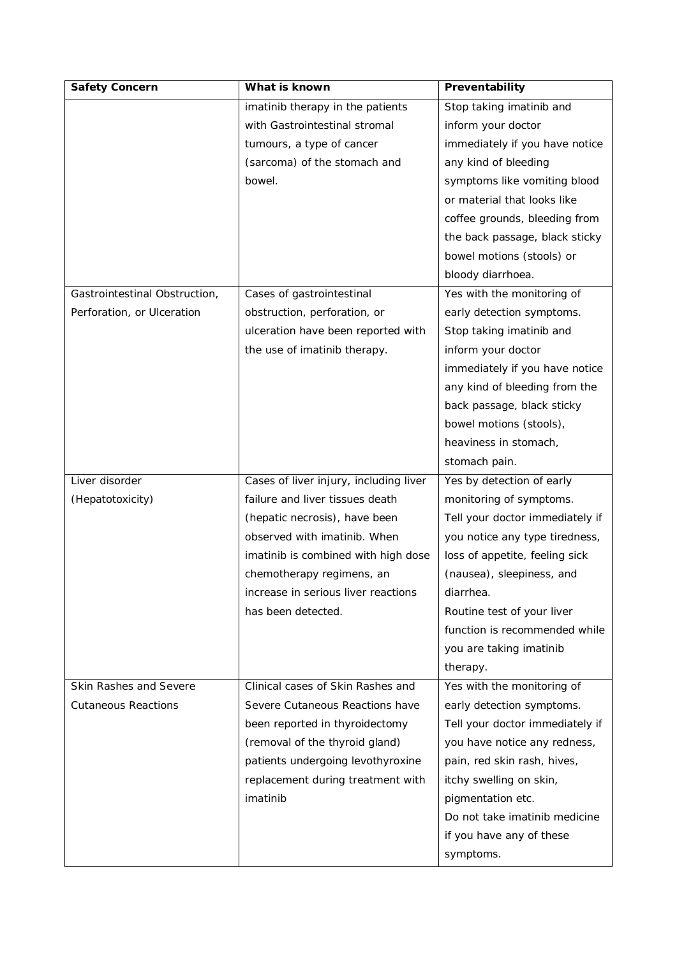| Safety Concern                | What is known                          | Preventability                  |
|-------------------------------|----------------------------------------|---------------------------------|
|                               | imatinib therapy in the patients       | Stop taking imatinib and        |
|                               | with Gastrointestinal stromal          | inform your doctor              |
|                               | tumours, a type of cancer              | immediately if you have notice  |
|                               | (sarcoma) of the stomach and           | any kind of bleeding            |
|                               | bowel.                                 | symptoms like vomiting blood    |
|                               |                                        | or material that looks like     |
|                               |                                        | coffee grounds, bleeding from   |
|                               |                                        | the back passage, black sticky  |
|                               |                                        | bowel motions (stools) or       |
|                               |                                        | bloody diarrhoea.               |
| Gastrointestinal Obstruction, | Cases of gastrointestinal              | Yes with the monitoring of      |
| Perforation, or Ulceration    | obstruction, perforation, or           | early detection symptoms.       |
|                               | ulceration have been reported with     | Stop taking imatinib and        |
|                               | the use of imatinib therapy.           | inform your doctor              |
|                               |                                        | immediately if you have notice  |
|                               |                                        | any kind of bleeding from the   |
|                               |                                        | back passage, black sticky      |
|                               |                                        | bowel motions (stools),         |
|                               |                                        | heaviness in stomach,           |
|                               |                                        | stomach pain.                   |
| Liver disorder                | Cases of liver injury, including liver | Yes by detection of early       |
| (Hepatotoxicity)              | failure and liver tissues death        | monitoring of symptoms.         |
|                               | (hepatic necrosis), have been          | Tell your doctor immediately if |
|                               | observed with imatinib. When           | you notice any type tiredness,  |
|                               | imatinib is combined with high dose    | loss of appetite, feeling sick  |
|                               | chemotherapy regimens, an              | (nausea), sleepiness, and       |
|                               | increase in serious liver reactions    | diarrhea.                       |
|                               | has been detected.                     | Routine test of your liver      |
|                               |                                        | function is recommended while   |
|                               |                                        | you are taking imatinib         |
|                               |                                        | therapy.                        |
| Skin Rashes and Severe        | Clinical cases of Skin Rashes and      | Yes with the monitoring of      |
| <b>Cutaneous Reactions</b>    | Severe Cutaneous Reactions have        | early detection symptoms.       |
|                               | been reported in thyroidectomy         | Tell your doctor immediately if |
|                               | (removal of the thyroid gland)         | you have notice any redness,    |
|                               | patients undergoing levothyroxine      | pain, red skin rash, hives,     |
|                               | replacement during treatment with      | itchy swelling on skin,         |
|                               | imatinib                               | pigmentation etc.               |
|                               |                                        | Do not take imatinib medicine   |
|                               |                                        |                                 |
|                               |                                        | if you have any of these        |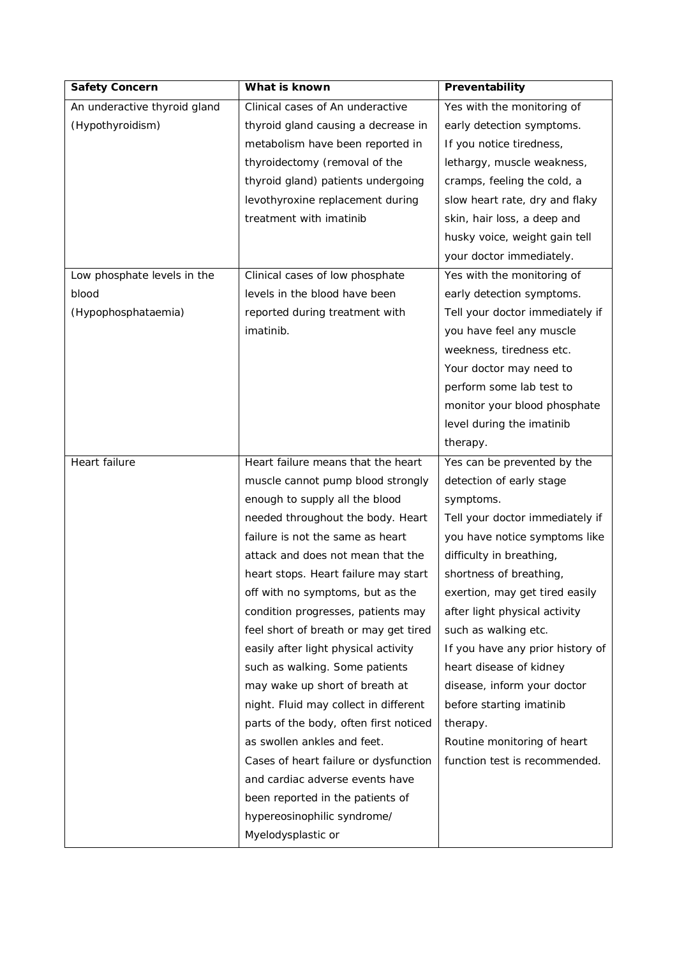| Safety Concern               | What is known                          | Preventability                   |
|------------------------------|----------------------------------------|----------------------------------|
| An underactive thyroid gland | Clinical cases of An underactive       | Yes with the monitoring of       |
| (Hypothyroidism)             | thyroid gland causing a decrease in    | early detection symptoms.        |
|                              | metabolism have been reported in       | If you notice tiredness,         |
|                              | thyroidectomy (removal of the          | lethargy, muscle weakness,       |
|                              | thyroid gland) patients undergoing     | cramps, feeling the cold, a      |
|                              | levothyroxine replacement during       | slow heart rate, dry and flaky   |
|                              | treatment with imatinib                | skin, hair loss, a deep and      |
|                              |                                        | husky voice, weight gain tell    |
|                              |                                        | your doctor immediately.         |
| Low phosphate levels in the  | Clinical cases of low phosphate        | Yes with the monitoring of       |
| blood                        | levels in the blood have been          | early detection symptoms.        |
| (Hypophosphataemia)          | reported during treatment with         | Tell your doctor immediately if  |
|                              | imatinib.                              | you have feel any muscle         |
|                              |                                        | weekness, tiredness etc.         |
|                              |                                        | Your doctor may need to          |
|                              |                                        | perform some lab test to         |
|                              |                                        | monitor your blood phosphate     |
|                              |                                        | level during the imatinib        |
|                              |                                        | therapy.                         |
| Heart failure                | Heart failure means that the heart     | Yes can be prevented by the      |
|                              | muscle cannot pump blood strongly      | detection of early stage         |
|                              | enough to supply all the blood         | symptoms.                        |
|                              | needed throughout the body. Heart      | Tell your doctor immediately if  |
|                              | failure is not the same as heart       | you have notice symptoms like    |
|                              | attack and does not mean that the      | difficulty in breathing,         |
|                              | heart stops. Heart failure may start   | shortness of breathing,          |
|                              | off with no symptoms, but as the       | exertion, may get tired easily   |
|                              | condition progresses, patients may     | after light physical activity    |
|                              | feel short of breath or may get tired  | such as walking etc.             |
|                              | easily after light physical activity   | If you have any prior history of |
|                              | such as walking. Some patients         | heart disease of kidney          |
|                              | may wake up short of breath at         | disease, inform your doctor      |
|                              | night. Fluid may collect in different  | before starting imatinib         |
|                              | parts of the body, often first noticed | therapy.                         |
|                              | as swollen ankles and feet.            | Routine monitoring of heart      |
|                              | Cases of heart failure or dysfunction  | function test is recommended.    |
|                              | and cardiac adverse events have        |                                  |
|                              | been reported in the patients of       |                                  |
|                              | hypereosinophilic syndrome/            |                                  |
|                              | Myelodysplastic or                     |                                  |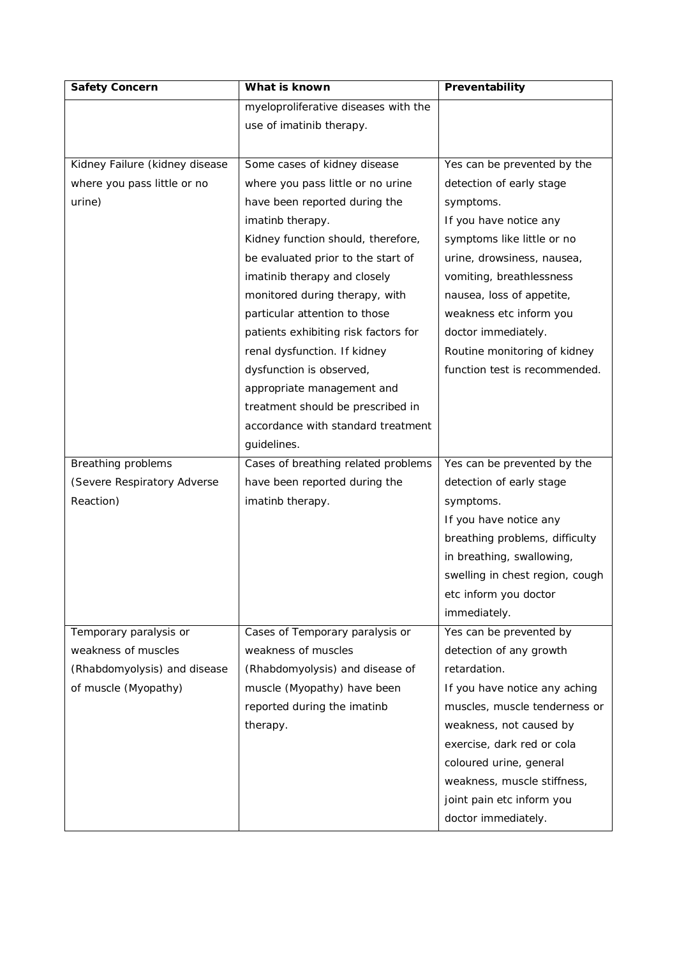| Safety Concern                 | What is known                        | Preventability                  |
|--------------------------------|--------------------------------------|---------------------------------|
|                                | myeloproliferative diseases with the |                                 |
|                                | use of imatinib therapy.             |                                 |
|                                |                                      |                                 |
| Kidney Failure (kidney disease | Some cases of kidney disease         | Yes can be prevented by the     |
| where you pass little or no    | where you pass little or no urine    | detection of early stage        |
| urine)                         | have been reported during the        | symptoms.                       |
|                                | imatinb therapy.                     | If you have notice any          |
|                                | Kidney function should, therefore,   | symptoms like little or no      |
|                                | be evaluated prior to the start of   | urine, drowsiness, nausea,      |
|                                | imatinib therapy and closely         | vomiting, breathlessness        |
|                                | monitored during therapy, with       | nausea, loss of appetite,       |
|                                | particular attention to those        | weakness etc inform you         |
|                                | patients exhibiting risk factors for | doctor immediately.             |
|                                | renal dysfunction. If kidney         | Routine monitoring of kidney    |
|                                | dysfunction is observed,             | function test is recommended.   |
|                                | appropriate management and           |                                 |
|                                | treatment should be prescribed in    |                                 |
|                                | accordance with standard treatment   |                                 |
|                                | guidelines.                          |                                 |
| Breathing problems             | Cases of breathing related problems  | Yes can be prevented by the     |
|                                |                                      |                                 |
| (Severe Respiratory Adverse    | have been reported during the        | detection of early stage        |
| Reaction)                      | imatinb therapy.                     | symptoms.                       |
|                                |                                      | If you have notice any          |
|                                |                                      | breathing problems, difficulty  |
|                                |                                      | in breathing, swallowing,       |
|                                |                                      | swelling in chest region, cough |
|                                |                                      | etc inform you doctor           |
|                                |                                      | immediately.                    |
| Temporary paralysis or         | Cases of Temporary paralysis or      | Yes can be prevented by         |
| weakness of muscles            | weakness of muscles                  | detection of any growth         |
| (Rhabdomyolysis) and disease   | (Rhabdomyolysis) and disease of      | retardation.                    |
| of muscle (Myopathy)           | muscle (Myopathy) have been          | If you have notice any aching   |
|                                | reported during the imatinb          | muscles, muscle tenderness or   |
|                                | therapy.                             | weakness, not caused by         |
|                                |                                      | exercise, dark red or cola      |
|                                |                                      | coloured urine, general         |
|                                |                                      | weakness, muscle stiffness,     |
|                                |                                      | joint pain etc inform you       |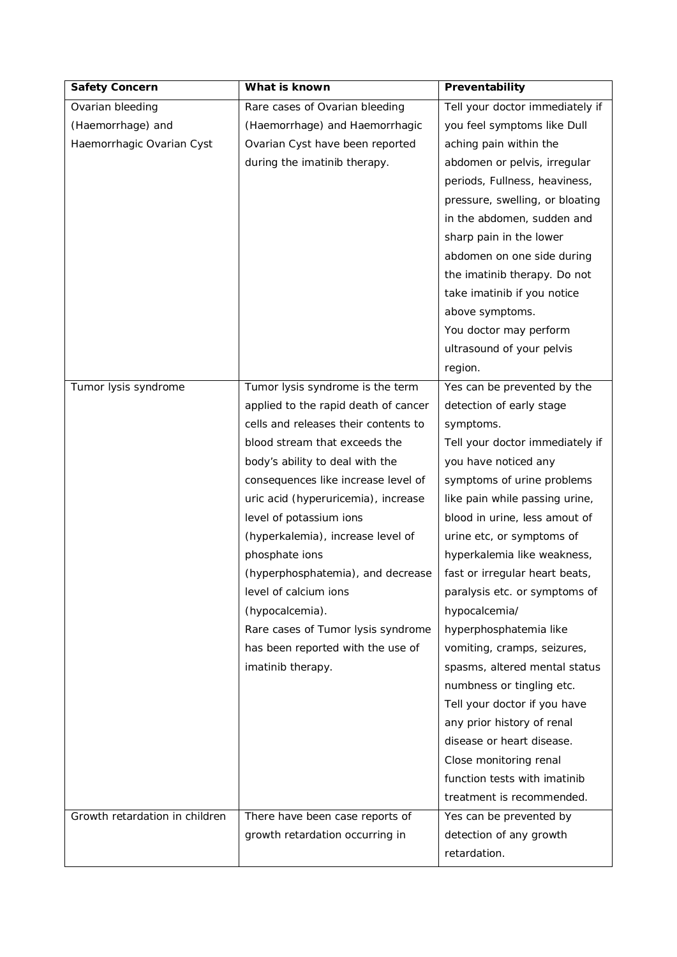| Safety Concern                 | What is known                        | Preventability                  |
|--------------------------------|--------------------------------------|---------------------------------|
| Ovarian bleeding               | Rare cases of Ovarian bleeding       | Tell your doctor immediately if |
| (Haemorrhage) and              | (Haemorrhage) and Haemorrhagic       | you feel symptoms like Dull     |
| Haemorrhagic Ovarian Cyst      | Ovarian Cyst have been reported      | aching pain within the          |
|                                | during the imatinib therapy.         | abdomen or pelvis, irregular    |
|                                |                                      | periods, Fullness, heaviness,   |
|                                |                                      | pressure, swelling, or bloating |
|                                |                                      | in the abdomen, sudden and      |
|                                |                                      | sharp pain in the lower         |
|                                |                                      | abdomen on one side during      |
|                                |                                      | the imatinib therapy. Do not    |
|                                |                                      | take imatinib if you notice     |
|                                |                                      | above symptoms.                 |
|                                |                                      | You doctor may perform          |
|                                |                                      | ultrasound of your pelvis       |
|                                |                                      | region.                         |
| Tumor lysis syndrome           | Tumor lysis syndrome is the term     | Yes can be prevented by the     |
|                                | applied to the rapid death of cancer | detection of early stage        |
|                                | cells and releases their contents to | symptoms.                       |
|                                | blood stream that exceeds the        | Tell your doctor immediately if |
|                                | body's ability to deal with the      | you have noticed any            |
|                                | consequences like increase level of  | symptoms of urine problems      |
|                                | uric acid (hyperuricemia), increase  | like pain while passing urine,  |
|                                | level of potassium ions              | blood in urine, less amout of   |
|                                | (hyperkalemia), increase level of    | urine etc, or symptoms of       |
|                                | phosphate ions                       | hyperkalemia like weakness,     |
|                                | (hyperphosphatemia), and decrease    | fast or irregular heart beats,  |
|                                | level of calcium ions                | paralysis etc. or symptoms of   |
|                                | (hypocalcemia).                      | hypocalcemia/                   |
|                                | Rare cases of Tumor lysis syndrome   | hyperphosphatemia like          |
|                                | has been reported with the use of    | vomiting, cramps, seizures,     |
|                                | imatinib therapy.                    | spasms, altered mental status   |
|                                |                                      | numbness or tingling etc.       |
|                                |                                      | Tell your doctor if you have    |
|                                |                                      | any prior history of renal      |
|                                |                                      | disease or heart disease.       |
|                                |                                      | Close monitoring renal          |
|                                |                                      | function tests with imatinib    |
|                                |                                      | treatment is recommended.       |
| Growth retardation in children | There have been case reports of      | Yes can be prevented by         |
|                                | growth retardation occurring in      | detection of any growth         |
|                                |                                      | retardation.                    |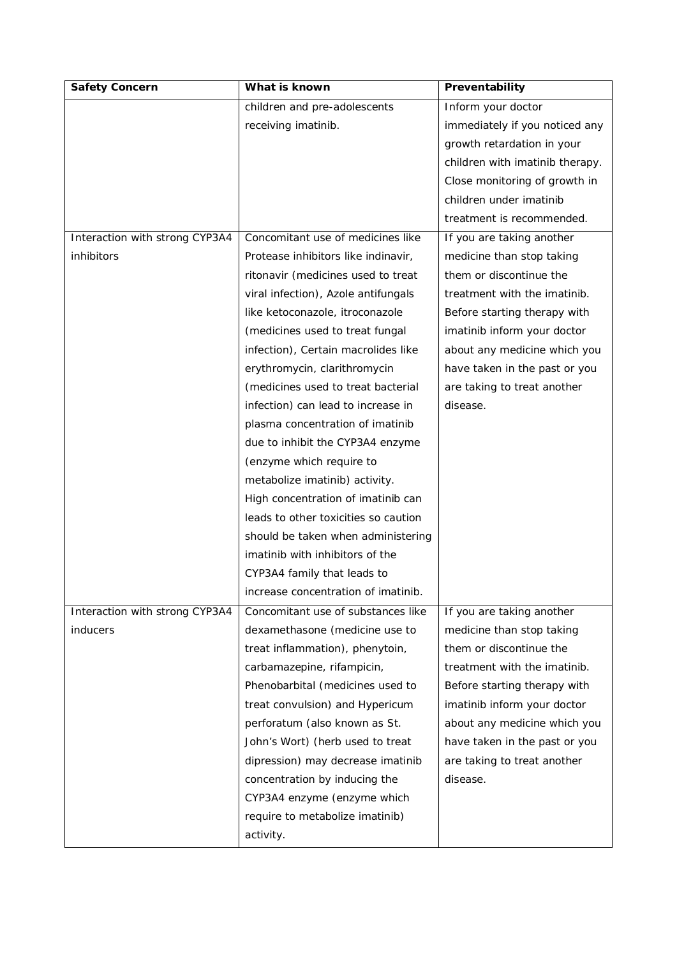| Safety Concern                 | What is known                        | Preventability                  |
|--------------------------------|--------------------------------------|---------------------------------|
|                                | children and pre-adolescents         | Inform your doctor              |
|                                | receiving imatinib.                  | immediately if you noticed any  |
|                                |                                      | growth retardation in your      |
|                                |                                      | children with imatinib therapy. |
|                                |                                      | Close monitoring of growth in   |
|                                |                                      | children under imatinib         |
|                                |                                      | treatment is recommended.       |
| Interaction with strong CYP3A4 | Concomitant use of medicines like    | If you are taking another       |
| inhibitors                     | Protease inhibitors like indinavir,  | medicine than stop taking       |
|                                | ritonavir (medicines used to treat   | them or discontinue the         |
|                                | viral infection), Azole antifungals  | treatment with the imatinib.    |
|                                | like ketoconazole, itroconazole      | Before starting therapy with    |
|                                | (medicines used to treat fungal      | imatinib inform your doctor     |
|                                | infection), Certain macrolides like  | about any medicine which you    |
|                                | erythromycin, clarithromycin         | have taken in the past or you   |
|                                | (medicines used to treat bacterial   | are taking to treat another     |
|                                | infection) can lead to increase in   | disease.                        |
|                                | plasma concentration of imatinib     |                                 |
|                                | due to inhibit the CYP3A4 enzyme     |                                 |
|                                | (enzyme which require to             |                                 |
|                                | metabolize imatinib) activity.       |                                 |
|                                | High concentration of imatinib can   |                                 |
|                                | leads to other toxicities so caution |                                 |
|                                | should be taken when administering   |                                 |
|                                | imatinib with inhibitors of the      |                                 |
|                                | CYP3A4 family that leads to          |                                 |
|                                | increase concentration of imatinib.  |                                 |
| Interaction with strong CYP3A4 | Concomitant use of substances like   | If you are taking another       |
| <i>inducers</i>                | dexamethasone (medicine use to       | medicine than stop taking       |
|                                | treat inflammation), phenytoin,      | them or discontinue the         |
|                                | carbamazepine, rifampicin,           | treatment with the imatinib.    |
|                                | Phenobarbital (medicines used to     | Before starting therapy with    |
|                                | treat convulsion) and Hypericum      | imatinib inform your doctor     |
|                                | perforatum (also known as St.        | about any medicine which you    |
|                                | John's Wort) (herb used to treat     | have taken in the past or you   |
|                                | dipression) may decrease imatinib    | are taking to treat another     |
|                                | concentration by inducing the        | disease.                        |
|                                | CYP3A4 enzyme (enzyme which          |                                 |
|                                | require to metabolize imatinib)      |                                 |
|                                | activity.                            |                                 |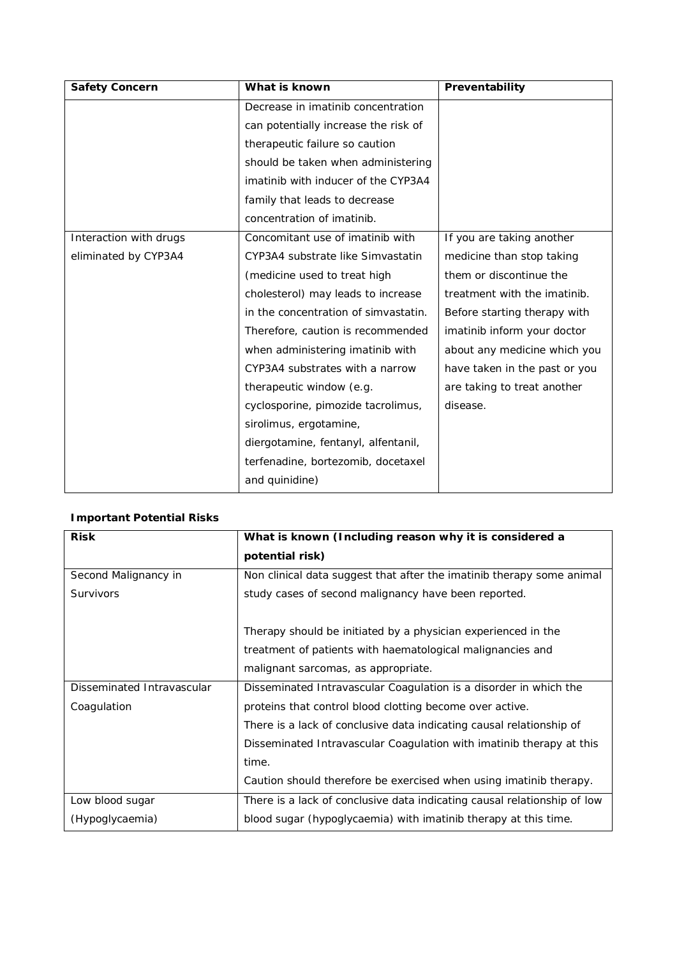| Safety Concern         | What is known                        | Preventability                |
|------------------------|--------------------------------------|-------------------------------|
|                        | Decrease in imatinib concentration   |                               |
|                        | can potentially increase the risk of |                               |
|                        | therapeutic failure so caution       |                               |
|                        | should be taken when administering   |                               |
|                        | imatinib with inducer of the CYP3A4  |                               |
|                        | family that leads to decrease        |                               |
|                        | concentration of imatinib.           |                               |
| Interaction with drugs | Concomitant use of imatinib with     | If you are taking another     |
| eliminated by CYP3A4   | CYP3A4 substrate like Simvastatin    | medicine than stop taking     |
|                        | (medicine used to treat high         | them or discontinue the       |
|                        | cholesterol) may leads to increase   | treatment with the imatinib.  |
|                        | in the concentration of simvastatin. | Before starting therapy with  |
|                        | Therefore, caution is recommended    | imatinib inform your doctor   |
|                        | when administering imatinib with     | about any medicine which you  |
|                        | CYP3A4 substrates with a narrow      | have taken in the past or you |
|                        | therapeutic window (e.g.             | are taking to treat another   |
|                        | cyclosporine, pimozide tacrolimus,   | disease.                      |
|                        | sirolimus, ergotamine,               |                               |
|                        | diergotamine, fentanyl, alfentanil,  |                               |
|                        | terfenadine, bortezomib, docetaxel   |                               |
|                        | and quinidine)                       |                               |

## **Important Potential Risks**

| <b>Risk</b>                | What is known (Including reason why it is considered a                   |
|----------------------------|--------------------------------------------------------------------------|
|                            | potential risk)                                                          |
| Second Malignancy in       | Non clinical data suggest that after the imatinib therapy some animal    |
| Survivors                  | study cases of second malignancy have been reported.                     |
|                            |                                                                          |
|                            | Therapy should be initiated by a physician experienced in the            |
|                            | treatment of patients with haematological malignancies and               |
|                            | malignant sarcomas, as appropriate.                                      |
| Disseminated Intravascular | Disseminated Intravascular Coagulation is a disorder in which the        |
| Coagulation                | proteins that control blood clotting become over active.                 |
|                            | There is a lack of conclusive data indicating causal relationship of     |
|                            | Disseminated Intravascular Coagulation with imatinib therapy at this     |
|                            | time.                                                                    |
|                            | Caution should therefore be exercised when using imatinib therapy.       |
| Low blood sugar            | There is a lack of conclusive data indicating causal relationship of low |
| (Hypoglycaemia)            | blood sugar (hypoglycaemia) with imatinib therapy at this time.          |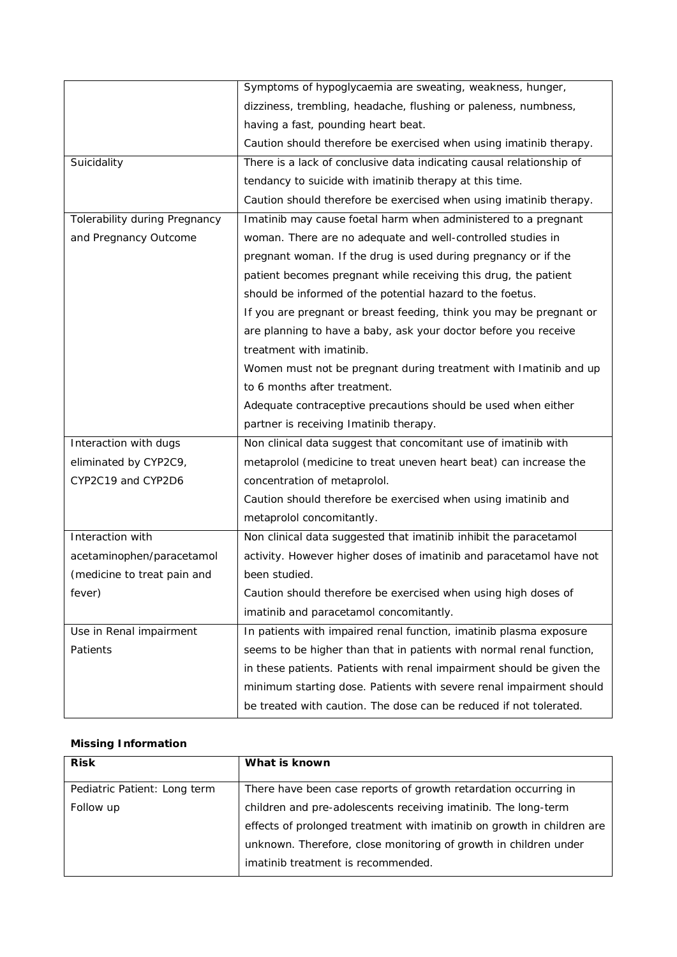|                               | Symptoms of hypoglycaemia are sweating, weakness, hunger,             |
|-------------------------------|-----------------------------------------------------------------------|
|                               | dizziness, trembling, headache, flushing or paleness, numbness,       |
|                               | having a fast, pounding heart beat.                                   |
|                               | Caution should therefore be exercised when using imatinib therapy.    |
| Suicidality                   | There is a lack of conclusive data indicating causal relationship of  |
|                               | tendancy to suicide with imatinib therapy at this time.               |
|                               | Caution should therefore be exercised when using imatinib therapy.    |
| Tolerability during Pregnancy | Imatinib may cause foetal harm when administered to a pregnant        |
| and Pregnancy Outcome         | woman. There are no adequate and well-controlled studies in           |
|                               | pregnant woman. If the drug is used during pregnancy or if the        |
|                               | patient becomes pregnant while receiving this drug, the patient       |
|                               | should be informed of the potential hazard to the foetus.             |
|                               | If you are pregnant or breast feeding, think you may be pregnant or   |
|                               | are planning to have a baby, ask your doctor before you receive       |
|                               | treatment with imatinib.                                              |
|                               | Women must not be pregnant during treatment with Imatinib and up      |
|                               | to 6 months after treatment.                                          |
|                               | Adequate contraceptive precautions should be used when either         |
|                               | partner is receiving Imatinib therapy.                                |
| Interaction with dugs         | Non clinical data suggest that concomitant use of imatinib with       |
| eliminated by CYP2C9,         | metaprolol (medicine to treat uneven heart beat) can increase the     |
| CYP2C19 and CYP2D6            | concentration of metaprolol.                                          |
|                               | Caution should therefore be exercised when using imatinib and         |
|                               | metaprolol concomitantly.                                             |
| Interaction with              | Non clinical data suggested that imatinib inhibit the paracetamol     |
| acetaminophen/paracetamol     | activity. However higher doses of imatinib and paracetamol have not   |
| (medicine to treat pain and   | been studied.                                                         |
| fever)                        | Caution should therefore be exercised when using high doses of        |
|                               | imatinib and paracetamol concomitantly.                               |
| Use in Renal impairment       | In patients with impaired renal function, imatinib plasma exposure    |
| Patients                      | seems to be higher than that in patients with normal renal function,  |
|                               | in these patients. Patients with renal impairment should be given the |
|                               | minimum starting dose. Patients with severe renal impairment should   |
|                               | be treated with caution. The dose can be reduced if not tolerated.    |

# **Missing Information**

| <b>Risk</b>                  | What is known                                                          |
|------------------------------|------------------------------------------------------------------------|
| Pediatric Patient: Long term | There have been case reports of growth retardation occurring in        |
| Follow up                    | children and pre-adolescents receiving imatinib. The long-term         |
|                              | effects of prolonged treatment with imatinib on growth in children are |
|                              | unknown. Therefore, close monitoring of growth in children under       |
|                              | imatinib treatment is recommended.                                     |